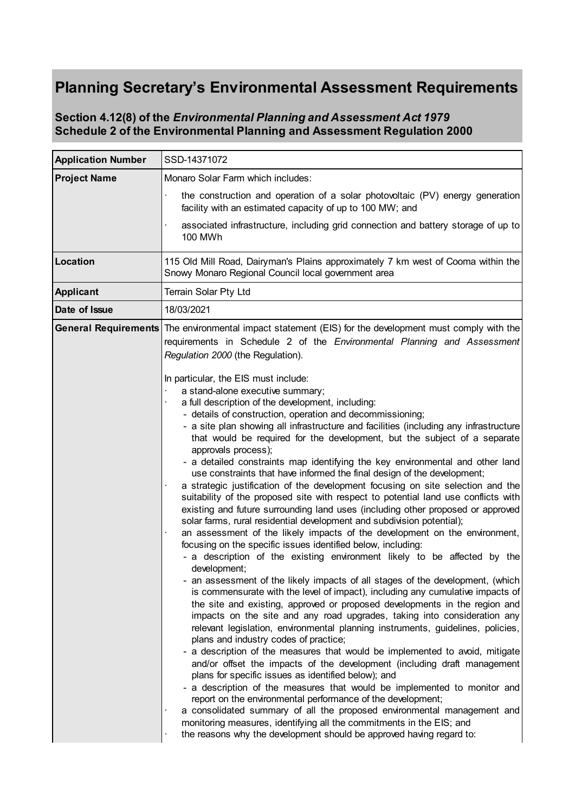## **Planning Secretary's Environmental Assessment Requirements**

## **Section 4.12(8) of the** *Environmental Planning and Assessment Act 1979* **Schedule 2 of the Environmental Planning and Assessment Regulation 2000**

| <b>Application Number</b>   | SSD-14371072                                                                                                                                                                                                                                                                                                                                                                                                                                                                                                                                                                                                                                                                                                                                                                                                                                                                                                                                                                                                                                                                                                                                                                                                                                                                                                                                                                                                                                                                                                                                                                                                                                                                                                                                                                                                                                                                                                                                                                                                                                                                                                                                                                                                                                                                                                                                                                               |
|-----------------------------|--------------------------------------------------------------------------------------------------------------------------------------------------------------------------------------------------------------------------------------------------------------------------------------------------------------------------------------------------------------------------------------------------------------------------------------------------------------------------------------------------------------------------------------------------------------------------------------------------------------------------------------------------------------------------------------------------------------------------------------------------------------------------------------------------------------------------------------------------------------------------------------------------------------------------------------------------------------------------------------------------------------------------------------------------------------------------------------------------------------------------------------------------------------------------------------------------------------------------------------------------------------------------------------------------------------------------------------------------------------------------------------------------------------------------------------------------------------------------------------------------------------------------------------------------------------------------------------------------------------------------------------------------------------------------------------------------------------------------------------------------------------------------------------------------------------------------------------------------------------------------------------------------------------------------------------------------------------------------------------------------------------------------------------------------------------------------------------------------------------------------------------------------------------------------------------------------------------------------------------------------------------------------------------------------------------------------------------------------------------------------------------------|
| <b>Project Name</b>         | Monaro Solar Farm which includes:                                                                                                                                                                                                                                                                                                                                                                                                                                                                                                                                                                                                                                                                                                                                                                                                                                                                                                                                                                                                                                                                                                                                                                                                                                                                                                                                                                                                                                                                                                                                                                                                                                                                                                                                                                                                                                                                                                                                                                                                                                                                                                                                                                                                                                                                                                                                                          |
|                             | the construction and operation of a solar photovoltaic (PV) energy generation<br>facility with an estimated capacity of up to 100 MW; and                                                                                                                                                                                                                                                                                                                                                                                                                                                                                                                                                                                                                                                                                                                                                                                                                                                                                                                                                                                                                                                                                                                                                                                                                                                                                                                                                                                                                                                                                                                                                                                                                                                                                                                                                                                                                                                                                                                                                                                                                                                                                                                                                                                                                                                  |
|                             | associated infrastructure, including grid connection and battery storage of up to<br><b>100 MWh</b>                                                                                                                                                                                                                                                                                                                                                                                                                                                                                                                                                                                                                                                                                                                                                                                                                                                                                                                                                                                                                                                                                                                                                                                                                                                                                                                                                                                                                                                                                                                                                                                                                                                                                                                                                                                                                                                                                                                                                                                                                                                                                                                                                                                                                                                                                        |
| Location                    | 115 Old Mill Road, Dairyman's Plains approximately 7 km west of Cooma within the<br>Snowy Monaro Regional Council local government area                                                                                                                                                                                                                                                                                                                                                                                                                                                                                                                                                                                                                                                                                                                                                                                                                                                                                                                                                                                                                                                                                                                                                                                                                                                                                                                                                                                                                                                                                                                                                                                                                                                                                                                                                                                                                                                                                                                                                                                                                                                                                                                                                                                                                                                    |
| <b>Applicant</b>            | Terrain Solar Pty Ltd                                                                                                                                                                                                                                                                                                                                                                                                                                                                                                                                                                                                                                                                                                                                                                                                                                                                                                                                                                                                                                                                                                                                                                                                                                                                                                                                                                                                                                                                                                                                                                                                                                                                                                                                                                                                                                                                                                                                                                                                                                                                                                                                                                                                                                                                                                                                                                      |
| Date of Issue               | 18/03/2021                                                                                                                                                                                                                                                                                                                                                                                                                                                                                                                                                                                                                                                                                                                                                                                                                                                                                                                                                                                                                                                                                                                                                                                                                                                                                                                                                                                                                                                                                                                                                                                                                                                                                                                                                                                                                                                                                                                                                                                                                                                                                                                                                                                                                                                                                                                                                                                 |
| <b>General Requirements</b> | The environmental impact statement (EIS) for the development must comply with the<br>requirements in Schedule 2 of the Environmental Planning and Assessment<br>Regulation 2000 (the Regulation).<br>In particular, the EIS must include:<br>a stand-alone executive summary;<br>a full description of the development, including:<br>- details of construction, operation and decommissioning;<br>- a site plan showing all infrastructure and facilities (including any infrastructure<br>that would be required for the development, but the subject of a separate<br>approvals process);<br>- a detailed constraints map identifying the key environmental and other land<br>use constraints that have informed the final design of the development;<br>a strategic justification of the development focusing on site selection and the<br>suitability of the proposed site with respect to potential land use conflicts with<br>existing and future surrounding land uses (including other proposed or approved<br>solar farms, rural residential development and subdivision potential);<br>an assessment of the likely impacts of the development on the environment,<br>focusing on the specific issues identified below, including:<br>- a description of the existing environment likely to be affected by the<br>development;<br>an assessment of the likely impacts of all stages of the development, (which<br>is commensurate with the level of impact), including any cumulative impacts of<br>the site and existing, approved or proposed developments in the region and<br>impacts on the site and any road upgrades, taking into consideration any<br>relevant legislation, environmental planning instruments, guidelines, policies,<br>plans and industry codes of practice;<br>- a description of the measures that would be implemented to avoid, mitigate<br>and/or offset the impacts of the development (including draft management)<br>plans for specific issues as identified below); and<br>- a description of the measures that would be implemented to monitor and<br>report on the environmental performance of the development;<br>a consolidated summary of all the proposed environmental management and<br>monitoring measures, identifying all the commitments in the EIS; and<br>the reasons why the development should be approved having regard to: |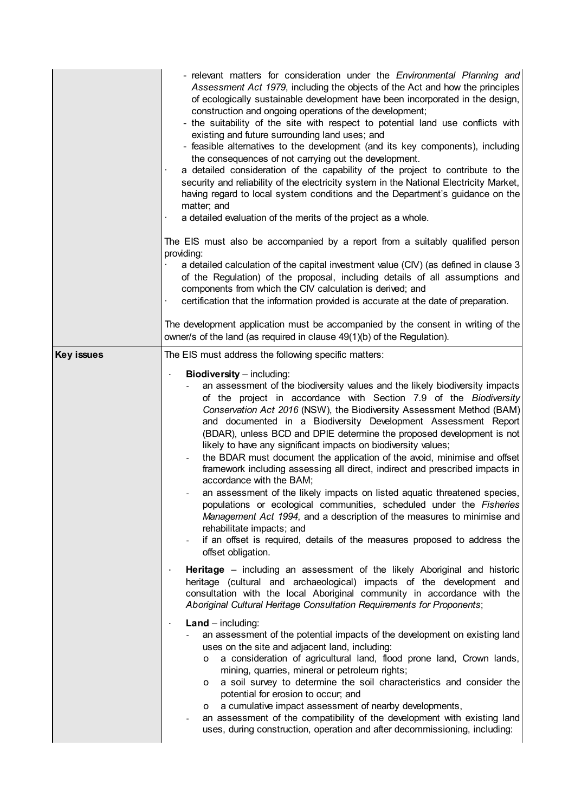|                   | - relevant matters for consideration under the <i>Environmental Planning and</i><br>Assessment Act 1979, including the objects of the Act and how the principles<br>of ecologically sustainable development have been incorporated in the design,<br>construction and ongoing operations of the development;<br>- the suitability of the site with respect to potential land use conflicts with<br>existing and future surrounding land uses; and<br>- feasible alternatives to the development (and its key components), including<br>the consequences of not carrying out the development.<br>a detailed consideration of the capability of the project to contribute to the<br>security and reliability of the electricity system in the National Electricity Market,<br>having regard to local system conditions and the Department's guidance on the<br>matter; and<br>a detailed evaluation of the merits of the project as a whole.<br>The EIS must also be accompanied by a report from a suitably qualified person<br>providing:<br>a detailed calculation of the capital investment value (CIV) (as defined in clause 3<br>of the Regulation) of the proposal, including details of all assumptions and<br>components from which the CIV calculation is derived; and<br>certification that the information provided is accurate at the date of preparation.<br>The development application must be accompanied by the consent in writing of the<br>owner/s of the land (as required in clause 49(1)(b) of the Regulation). |
|-------------------|--------------------------------------------------------------------------------------------------------------------------------------------------------------------------------------------------------------------------------------------------------------------------------------------------------------------------------------------------------------------------------------------------------------------------------------------------------------------------------------------------------------------------------------------------------------------------------------------------------------------------------------------------------------------------------------------------------------------------------------------------------------------------------------------------------------------------------------------------------------------------------------------------------------------------------------------------------------------------------------------------------------------------------------------------------------------------------------------------------------------------------------------------------------------------------------------------------------------------------------------------------------------------------------------------------------------------------------------------------------------------------------------------------------------------------------------------------------------------------------------------------------------------------------|
| <b>Key issues</b> | The EIS must address the following specific matters:                                                                                                                                                                                                                                                                                                                                                                                                                                                                                                                                                                                                                                                                                                                                                                                                                                                                                                                                                                                                                                                                                                                                                                                                                                                                                                                                                                                                                                                                                 |
|                   | <b>Biodiversity</b> - including:<br>an assessment of the biodiversity values and the likely biodiversity impacts<br>of the project in accordance with Section 7.9 of the Biodiversity<br>Conservation Act 2016 (NSW), the Biodiversity Assessment Method (BAM)<br>and documented in a Biodiversity Development Assessment Report<br>(BDAR), unless BCD and DPIE determine the proposed development is not<br>likely to have any significant impacts on biodiversity values;<br>the BDAR must document the application of the avoid, minimise and offset<br>framework including assessing all direct, indirect and prescribed impacts in<br>accordance with the BAM;<br>an assessment of the likely impacts on listed aquatic threatened species,<br>populations or ecological communities, scheduled under the Fisheries<br>Management Act 1994, and a description of the measures to minimise and<br>rehabilitate impacts; and<br>if an offset is required, details of the measures proposed to address the<br>offset obligation.                                                                                                                                                                                                                                                                                                                                                                                                                                                                                                   |
|                   | Heritage – including an assessment of the likely Aboriginal and historic<br>heritage (cultural and archaeological) impacts of the development and<br>consultation with the local Aboriginal community in accordance with the<br>Aboriginal Cultural Heritage Consultation Requirements for Proponents;                                                                                                                                                                                                                                                                                                                                                                                                                                                                                                                                                                                                                                                                                                                                                                                                                                                                                                                                                                                                                                                                                                                                                                                                                               |
|                   | $Land - including:$<br>$\blacksquare$<br>an assessment of the potential impacts of the development on existing land<br>uses on the site and adjacent land, including:<br>a consideration of agricultural land, flood prone land, Crown lands,<br>0<br>mining, quarries, mineral or petroleum rights;<br>a soil survey to determine the soil characteristics and consider the<br>o<br>potential for erosion to occur; and<br>a cumulative impact assessment of nearby developments,<br>o<br>an assessment of the compatibility of the development with existing land<br>uses, during construction, operation and after decommissioning, including:                                                                                                                                                                                                                                                                                                                                                                                                                                                                                                                                                                                                                                                                                                                                                                                                                                                                                    |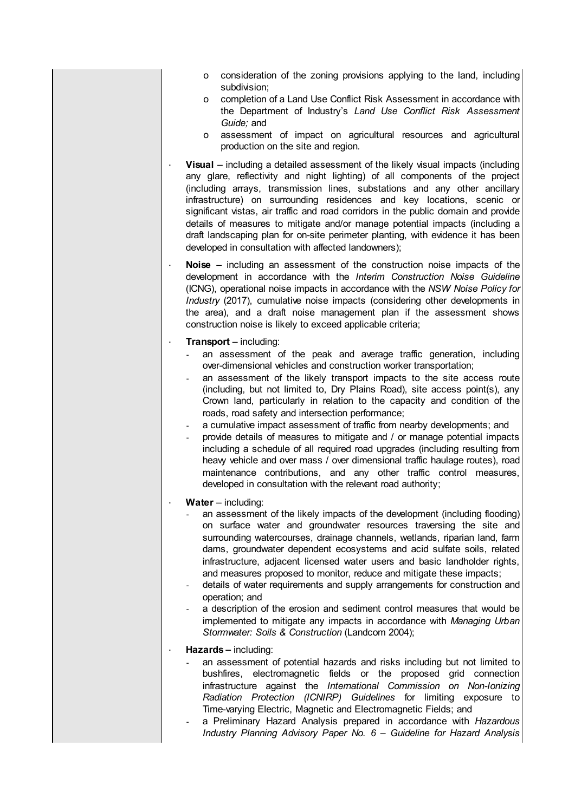- o consideration of the zoning provisions applying to the land, including subdivision:
- o completion of a Land Use Conflict Risk Assessment in accordance with the Department of Industry's *Land Use Conflict Risk Assessment Guide;* and
- o assessment of impact on agricultural resources and agricultural production on the site and region*.*
- **· Visual**  including a detailed assessment of the likely visual impacts (including any glare, reflectivity and night lighting) of all components of the project (including arrays, transmission lines, substations and any other ancillary infrastructure) on surrounding residences and key locations, scenic or significant vistas, air traffic and road corridors in the public domain and provide details of measures to mitigate and/or manage potential impacts (including a draft landscaping plan for on-site perimeter planting, with evidence it has been developed in consultation with affected landowners);
- **· Noise**  including an assessment of the construction noise impacts of the development in accordance with the *Interim Construction Noise Guideline* (ICNG), operational noise impacts in accordance with the *NSW Noise Policy for Industry* (2017), cumulative noise impacts (considering other developments in the area), and a draft noise management plan if the assessment shows construction noise is likely to exceed applicable criteria;
- **· Transport**  including:
	- an assessment of the peak and average traffic generation, including over-dimensional vehicles and construction worker transportation;
	- an assessment of the likely transport impacts to the site access route (including, but not limited to, Dry Plains Road), site access point(s), any Crown land, particularly in relation to the capacity and condition of the roads, road safety and intersection performance;
	- a cumulative impact assessment of traffic from nearby developments; and
	- provide details of measures to mitigate and / or manage potential impacts including a schedule of all required road upgrades (including resulting from heaw vehicle and over mass / over dimensional traffic haulage routes), road maintenance contributions, and any other traffic control measures, developed in consultation with the relevant road authority;
- **· Water**  including:
	- an assessment of the likely impacts of the development (including flooding) on surface water and groundwater resources traversing the site and surrounding watercourses, drainage channels, wetlands, riparian land, farm dams, groundwater dependent ecosystems and acid sulfate soils, related infrastructure, adiacent licensed water users and basic landholder rights, and measures proposed to monitor, reduce and mitigate these impacts;
	- details of water requirements and supply arrangements for construction and operation; and
	- a description of the erosion and sediment control measures that would be implemented to mitigate any impacts in accordance with *Managing Urban Stormwater: Soils & Construction* (Landcom 2004);
- **· Hazards –** including:
	- an assessment of potential hazards and risks including but not limited to bushfires, electromagnetic fields or the proposed grid connection infrastructure against the *International Commission on Non-Ionizing Radiation Protection (ICNIRP) Guidelines* for limiting exposure to Time-varying Electric, Magnetic and Electromagnetic Fields; and
	- a Preliminary Hazard Analysis prepared in accordance with *Hazardous Industry Planning Advisory Paper No. 6 – Guideline for Hazard Analysis*